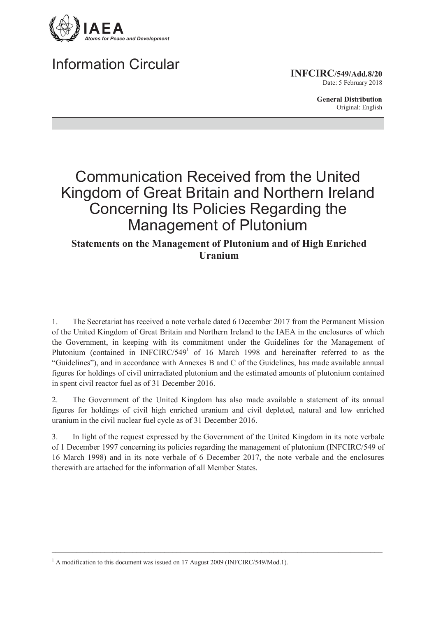

# **Information Circular**

**INFCIRC/549/Add.8/20** Date: 5 February 2018

> **General Distribution** Original: English

# **Communication Received from the United** Kingdom of Great Britain and Northern Ireland Concerning Its Policies Regarding the **Management of Plutonium**

**Statements on the Management of Plutonium and of High Enriched I**Iranium

The Secretariat has received a note verbale dated 6 December 2017 from the Permanent Mission 1. of the United Kingdom of Great Britain and Northern Ireland to the IAEA in the enclosures of which the Government, in keeping with its commitment under the Guidelines for the Management of Plutonium (contained in INFCIRC/549<sup>1</sup> of 16 March 1998 and hereinafter referred to as the "Guidelines"), and in accordance with Annexes B and C of the Guidelines, has made available annual figures for holdings of civil unirradiated plutonium and the estimated amounts of plutonium contained in spent civil reactor fuel as of 31 December 2016.

The Government of the United Kingdom has also made available a statement of its annual  $\overline{2}$ figures for holdings of civil high enriched uranium and civil depleted, natural and low enriched uranium in the civil nuclear fuel cycle as of 31 December 2016.

3. In light of the request expressed by the Government of the United Kingdom in its note verbale of 1 December 1997 concerning its policies regarding the management of plutonium (INFCIRC/549 of 16 March 1998) and in its note verbale of 6 December 2017, the note verbale and the enclosures therewith are attached for the information of all Member States.

 $^{1}$  A modification to this document was issued on 17 August 2009 (INFCIRC/549/Mod.1).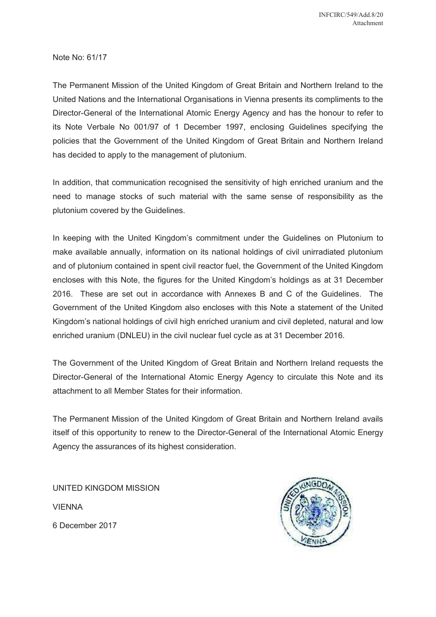Note No: 61/17

The Permanent Mission of the United Kingdom of Great Britain and Northern Ireland to the United Nations and the International Organisations in Vienna presents its compliments to the Director-General of the International Atomic Energy Agency and has the honour to refer to its Note Verbale No 001/97 of 1 December 1997, enclosing Guidelines specifying the policies that the Government of the United Kingdom of Great Britain and Northern Ireland has decided to apply to the management of plutonium.

In addition, that communication recognised the sensitivity of high enriched uranium and the need to manage stocks of such material with the same sense of responsibility as the plutonium covered by the Guidelines.

In keeping with the United Kingdom's commitment under the Guidelines on Plutonium to make available annually, information on its national holdings of civil unirradiated plutonium and of plutonium contained in spent civil reactor fuel, the Government of the United Kingdom encloses with this Note, the figures for the United Kingdomís holdings as at 31 December 2016. These are set out in accordance with Annexes B and C of the Guidelines. The Government of the United Kingdom also encloses with this Note a statement of the United Kingdom's national holdings of civil high enriched uranium and civil depleted, natural and low enriched uranium (DNLEU) in the civil nuclear fuel cycle as at 31 December 2016.

The Government of the United Kingdom of Great Britain and Northern Ireland requests the Director-General of the International Atomic Energy Agency to circulate this Note and its attachment to all Member States for their information.

The Permanent Mission of the United Kingdom of Great Britain and Northern Ireland avails itself of this opportunity to renew to the Director-General of the International Atomic Energy Agency the assurances of its highest consideration.

UNITED KINGDOM MISSION VIENNA 6 December 2017

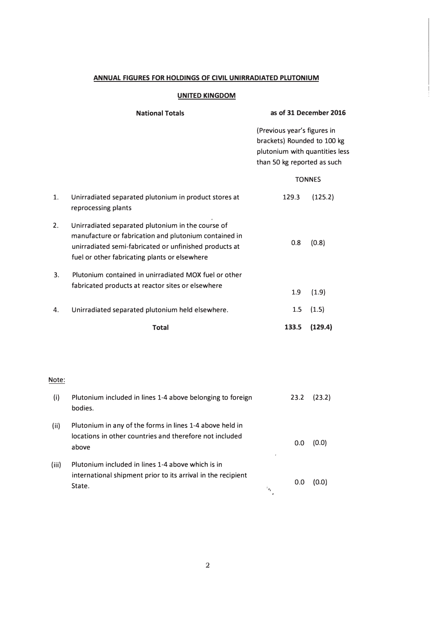## ANNUAL FIGURES FOR HOLDINGS OF CIVIL UNIRRADIATED PLUTONIUM

### **UNITED KINGDOM**

## **National Totals**

as of 31 December 2016

(Previous year's figures in brackets) Rounded to 100 kg plutonium with quantities less than 50 kg reported as such

#### **TONNES**

| unirradiated semi-fabricated or unfinished products at<br>fuel or other fabricating plants or elsewhere<br>Plutonium contained in unirradiated MOX fuel or other<br>fabricated products at reactor sites or elsewhere<br>Unirradiated separated plutonium held elsewhere. | 0.8<br>1.9<br>1.5 | (0.8)<br>(1.9)<br>(1.5) |
|---------------------------------------------------------------------------------------------------------------------------------------------------------------------------------------------------------------------------------------------------------------------------|-------------------|-------------------------|
|                                                                                                                                                                                                                                                                           |                   |                         |
|                                                                                                                                                                                                                                                                           |                   |                         |
|                                                                                                                                                                                                                                                                           |                   |                         |
| Unirradiated separated plutonium in the course of<br>manufacture or fabrication and plutonium contained in                                                                                                                                                                |                   |                         |
| Unirradiated separated plutonium in product stores at<br>reprocessing plants                                                                                                                                                                                              | 129.3             | (125.2)                 |
|                                                                                                                                                                                                                                                                           |                   |                         |

### Note:

| (i)   | Plutonium included in lines 1-4 above belonging to foreign<br>bodies.                                                        |    | 23.2 | (23.2) |
|-------|------------------------------------------------------------------------------------------------------------------------------|----|------|--------|
| (ii)  | Plutonium in any of the forms in lines 1-4 above held in<br>locations in other countries and therefore not included<br>above | ٠  | 0.0  | (0.0)  |
| (iii) | Plutonium included in lines 1-4 above which is in<br>international shipment prior to its arrival in the recipient<br>State.  | ÷. | 0.0  | (0.0)  |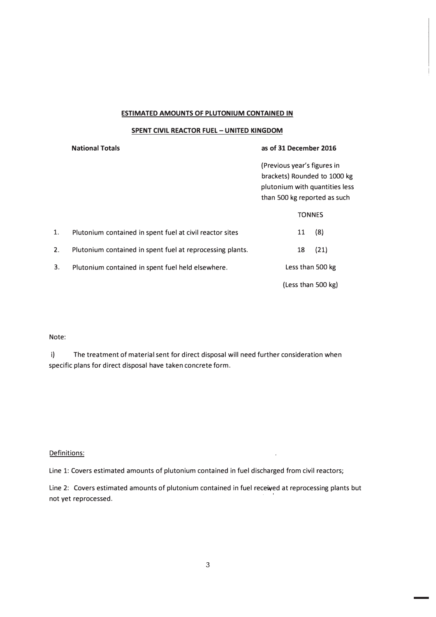#### **ESTIMATED AMOUNTS OF PLUTONIUM CONTAINED IN**

#### **SPENT CIVIL REACTOR FUEL - UNITED KINGDOM**

#### **National Totals**

#### as of 31 December 2016

(Previous year's figures in brackets) Rounded to 1000 kg plutonium with quantities less than 500 kg reported as such

|    |                                                           | <b>TONNES</b>      |      |
|----|-----------------------------------------------------------|--------------------|------|
| 1. | Plutonium contained in spent fuel at civil reactor sites  | 11                 | (8)  |
| 2. | Plutonium contained in spent fuel at reprocessing plants. | 18                 | (21) |
| 3. | Plutonium contained in spent fuel held elsewhere.         | Less than 500 kg   |      |
|    |                                                           | (Less than 500 kg) |      |

#### Note:

 $i)$ The treatment of material sent for direct disposal will need further consideration when specific plans for direct disposal have taken concrete form.

#### Definitions:

Line 1: Covers estimated amounts of plutonium contained in fuel discharged from civil reactors;

Line 2: Covers estimated amounts of plutonium contained in fuel received at reprocessing plants but not yet reprocessed.

J.